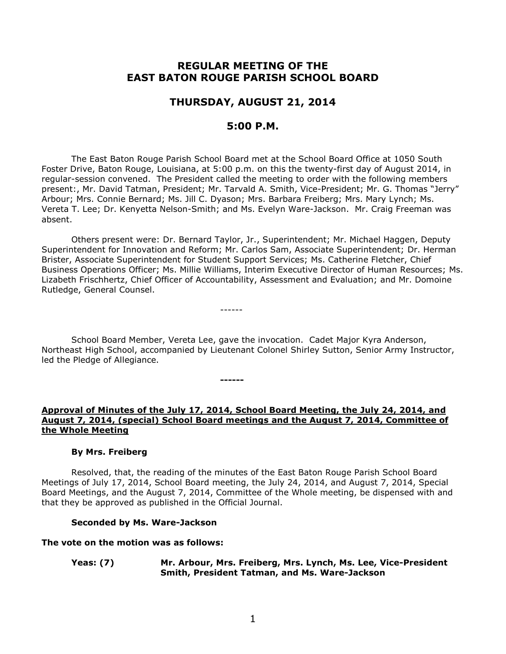# **REGULAR MEETING OF THE EAST BATON ROUGE PARISH SCHOOL BOARD**

# **THURSDAY, AUGUST 21, 2014**

# **5:00 P.M.**

The East Baton Rouge Parish School Board met at the School Board Office at 1050 South Foster Drive, Baton Rouge, Louisiana, at 5:00 p.m. on this the twenty-first day of August 2014, in regular-session convened. The President called the meeting to order with the following members present:, Mr. David Tatman, President; Mr. Tarvald A. Smith, Vice-President; Mr. G. Thomas "Jerry" Arbour; Mrs. Connie Bernard; Ms. Jill C. Dyason; Mrs. Barbara Freiberg; Mrs. Mary Lynch; Ms. Vereta T. Lee; Dr. Kenyetta Nelson-Smith; and Ms. Evelyn Ware-Jackson. Mr. Craig Freeman was absent.

Others present were: Dr. Bernard Taylor, Jr., Superintendent; Mr. Michael Haggen, Deputy Superintendent for Innovation and Reform; Mr. Carlos Sam, Associate Superintendent; Dr. Herman Brister, Associate Superintendent for Student Support Services; Ms. Catherine Fletcher, Chief Business Operations Officer; Ms. Millie Williams, Interim Executive Director of Human Resources; Ms. Lizabeth Frischhertz, Chief Officer of Accountability, Assessment and Evaluation; and Mr. Domoine Rutledge, General Counsel.

School Board Member, Vereta Lee, gave the invocation. Cadet Major Kyra Anderson, Northeast High School, accompanied by Lieutenant Colonel Shirley Sutton, Senior Army Instructor, led the Pledge of Allegiance.

------

**------**

### **Approval of Minutes of the July 17, 2014, School Board Meeting, the July 24, 2014, and August 7, 2014, (special) School Board meetings and the August 7, 2014, Committee of the Whole Meeting**

#### **By Mrs. Freiberg**

Resolved, that, the reading of the minutes of the East Baton Rouge Parish School Board Meetings of July 17, 2014, School Board meeting, the July 24, 2014, and August 7, 2014, Special Board Meetings, and the August 7, 2014, Committee of the Whole meeting, be dispensed with and that they be approved as published in the Official Journal.

#### **Seconded by Ms. Ware-Jackson**

#### **The vote on the motion was as follows:**

**Yeas: (7) Mr. Arbour, Mrs. Freiberg, Mrs. Lynch, Ms. Lee, Vice-President Smith, President Tatman, and Ms. Ware-Jackson**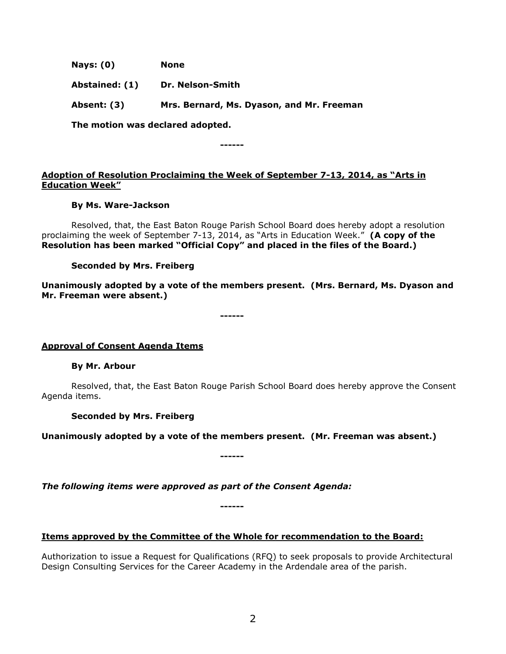**Nays: (0) None**

**Abstained: (1) Dr. Nelson-Smith**

**Absent: (3) Mrs. Bernard, Ms. Dyason, and Mr. Freeman** 

**The motion was declared adopted.**

**------**

## **Adoption of Resolution Proclaiming the Week of September 7-13, 2014, as "Arts in Education Week"**

### **By Ms. Ware-Jackson**

Resolved, that, the East Baton Rouge Parish School Board does hereby adopt a resolution proclaiming the week of September 7-13, 2014, as "Arts in Education Week." **(A copy of the Resolution has been marked "Official Copy" and placed in the files of the Board.)**

### **Seconded by Mrs. Freiberg**

**Unanimously adopted by a vote of the members present. (Mrs. Bernard, Ms. Dyason and Mr. Freeman were absent.)**

**------**

# **Approval of Consent Agenda Items**

# **By Mr. Arbour**

Resolved, that, the East Baton Rouge Parish School Board does hereby approve the Consent Agenda items.

# **Seconded by Mrs. Freiberg**

**Unanimously adopted by a vote of the members present. (Mr. Freeman was absent.)**

**------**

*The following items were approved as part of the Consent Agenda:*

# **Items approved by the Committee of the Whole for recommendation to the Board:**

**------**

Authorization to issue a Request for Qualifications (RFQ) to seek proposals to provide Architectural Design Consulting Services for the Career Academy in the Ardendale area of the parish.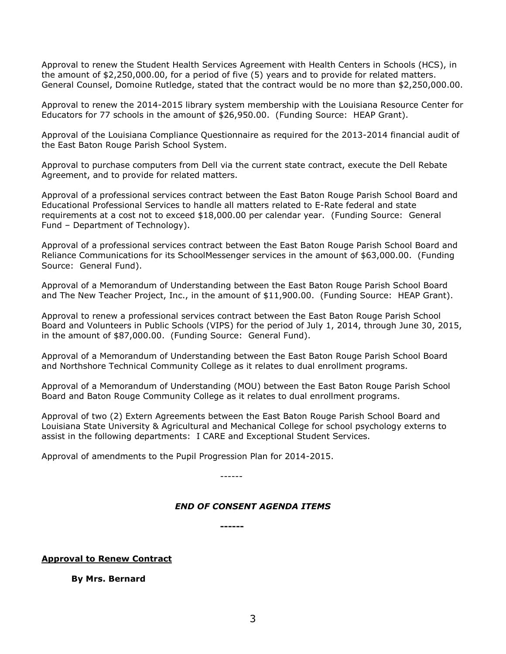Approval to renew the Student Health Services Agreement with Health Centers in Schools (HCS), in the amount of \$2,250,000.00, for a period of five (5) years and to provide for related matters. General Counsel, Domoine Rutledge, stated that the contract would be no more than \$2,250,000.00.

Approval to renew the 2014-2015 library system membership with the Louisiana Resource Center for Educators for 77 schools in the amount of \$26,950.00. (Funding Source: HEAP Grant).

Approval of the Louisiana Compliance Questionnaire as required for the 2013-2014 financial audit of the East Baton Rouge Parish School System.

Approval to purchase computers from Dell via the current state contract, execute the Dell Rebate Agreement, and to provide for related matters.

Approval of a professional services contract between the East Baton Rouge Parish School Board and Educational Professional Services to handle all matters related to E-Rate federal and state requirements at a cost not to exceed \$18,000.00 per calendar year. (Funding Source: General Fund – Department of Technology).

Approval of a professional services contract between the East Baton Rouge Parish School Board and Reliance Communications for its SchoolMessenger services in the amount of \$63,000.00. (Funding Source: General Fund).

Approval of a Memorandum of Understanding between the East Baton Rouge Parish School Board and The New Teacher Project, Inc., in the amount of \$11,900.00. (Funding Source: HEAP Grant).

Approval to renew a professional services contract between the East Baton Rouge Parish School Board and Volunteers in Public Schools (VIPS) for the period of July 1, 2014, through June 30, 2015, in the amount of \$87,000.00. (Funding Source: General Fund).

Approval of a Memorandum of Understanding between the East Baton Rouge Parish School Board and Northshore Technical Community College as it relates to dual enrollment programs.

Approval of a Memorandum of Understanding (MOU) between the East Baton Rouge Parish School Board and Baton Rouge Community College as it relates to dual enrollment programs.

Approval of two (2) Extern Agreements between the East Baton Rouge Parish School Board and Louisiana State University & Agricultural and Mechanical College for school psychology externs to assist in the following departments: I CARE and Exceptional Student Services.

Approval of amendments to the Pupil Progression Plan for 2014-2015.

------

# *END OF CONSENT AGENDA ITEMS*

**------**

### **Approval to Renew Contract**

#### **By Mrs. Bernard**